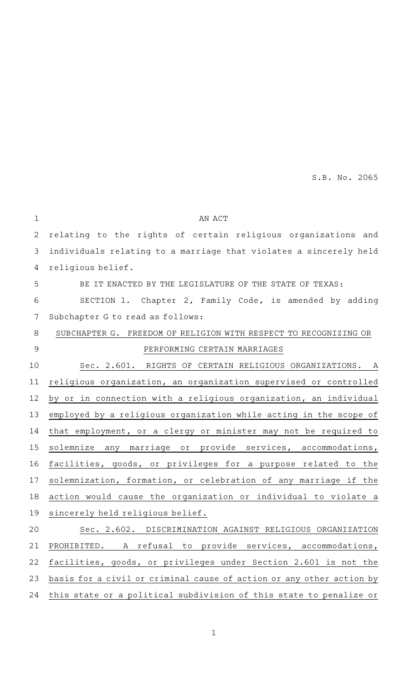S.B. No. 2065

| $\mathbf 1$   | AN ACT                                                               |
|---------------|----------------------------------------------------------------------|
| 2             | relating to the rights of certain religious organizations and        |
| 3             | individuals relating to a marriage that violates a sincerely held    |
| 4             | religious belief.                                                    |
| 5             | BE IT ENACTED BY THE LEGISLATURE OF THE STATE OF TEXAS:              |
| 6             | SECTION 1. Chapter 2, Family Code, is amended by adding              |
| 7             | Subchapter G to read as follows:                                     |
| 8             | SUBCHAPTER G. FREEDOM OF RELIGION WITH RESPECT TO RECOGNIZING OR     |
| $\mathcal{G}$ | PERFORMING CERTAIN MARRIAGES                                         |
| 10            | Sec. 2.601. RIGHTS OF CERTAIN RELIGIOUS ORGANIZATIONS. A             |
| 11            | religious organization, an organization supervised or controlled     |
| 12            | by or in connection with a religious organization, an individual     |
| 13            | employed by a religious organization while acting in the scope of    |
| 14            | that employment, or a clergy or minister may not be required to      |
| 15            | solemnize any marriage or provide services, accommodations,          |
| 16            | facilities, goods, or privileges for a purpose related to the        |
| 17            | solemnization, formation, or celebration of any marriage if the      |
| 18            | action would cause the organization or individual to violate a       |
| 19            | sincerely held religious belief.                                     |
| 20            | Sec. 2.602. DISCRIMINATION AGAINST RELIGIOUS ORGANIZATION            |
| 21            | PROHIBITED. A refusal to provide services, accommodations,           |
| 22            | facilities, goods, or privileges under Section 2.601 is not the      |
| 23            | basis for a civil or criminal cause of action or any other action by |
| 24            | this state or a political subdivision of this state to penalize or   |
|               |                                                                      |

1